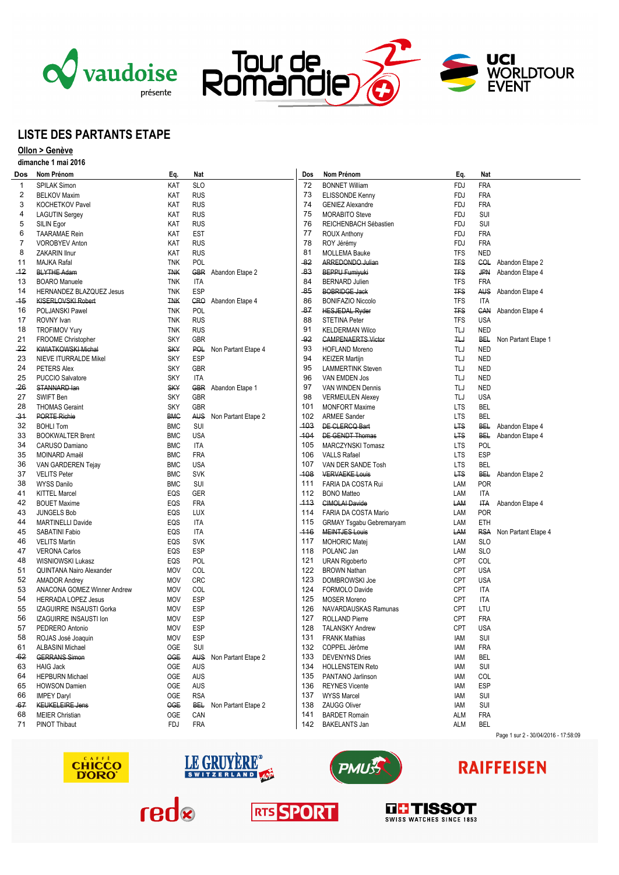





# **LISTE DES PARTANTS ETAPE**

## **Ollon > Genève**

### **dimanche 1 mai 2016**

| Dos     | Nom Prénom                    | Eq.        | Nat        |                         | Dos    | Nom Prénom                      | Eq.          | Nat        |                                      |
|---------|-------------------------------|------------|------------|-------------------------|--------|---------------------------------|--------------|------------|--------------------------------------|
| 1       | <b>SPILAK Simon</b>           | KAT        | <b>SLO</b> |                         | 72     | <b>BONNET William</b>           | <b>FDJ</b>   | <b>FRA</b> |                                      |
| 2       | <b>BELKOV Maxim</b>           | KAT        | <b>RUS</b> |                         | 73     | ELISSONDE Kenny                 | <b>FDJ</b>   | <b>FRA</b> |                                      |
| 3       | <b>KOCHETKOV Pavel</b>        | KAT        | <b>RUS</b> |                         | 74     | <b>GENIEZ Alexandre</b>         | <b>FDJ</b>   | <b>FRA</b> |                                      |
| 4       | <b>LAGUTIN Sergey</b>         | KAT        | <b>RUS</b> |                         | 75     | <b>MORABITO Steve</b>           | <b>FDJ</b>   | SUI        |                                      |
| 5       | SILIN Egor                    | KAT        | <b>RUS</b> |                         | 76     | REICHENBACH Sébastien           | <b>FDJ</b>   | SUI        |                                      |
| 6       | <b>TAARAMAE Rein</b>          | KAT        | <b>EST</b> |                         | 77     | <b>ROUX Anthony</b>             | <b>FDJ</b>   | <b>FRA</b> |                                      |
| 7       | <b>VOROBYEV Anton</b>         | KAT        | <b>RUS</b> |                         | 78     | ROY Jérémy                      | <b>FDJ</b>   | <b>FRA</b> |                                      |
| 8       | ZAKARIN Ilnur                 | KAT        | <b>RUS</b> |                         | 81     | <b>MOLLEMA Bauke</b>            | <b>TFS</b>   | <b>NED</b> |                                      |
| 11      | <b>MAJKA Rafal</b>            | <b>TNK</b> | POL        |                         | $-82$  | ARREDONDO Julian                | <b>TFS</b>   | COL        | Abandon Etape 2                      |
| $-12$   | <b>BLYTHE Adam</b>            | <b>TNK</b> |            | GBR Abandon Etape 2     | -83    | <b>BEPPU Fumiyuki</b>           | <b>TFS</b>   | <b>JPN</b> | Abandon Etape 4                      |
| 13      | <b>BOARO Manuele</b>          | <b>TNK</b> | <b>ITA</b> |                         | 84     | <b>BERNARD Julien</b>           | <b>TFS</b>   | <b>FRA</b> |                                      |
| 14      |                               | <b>TNK</b> | <b>ESP</b> |                         | $-85$  | <b>BOBRIDGE Jack</b>            | <b>TFS</b>   | <b>AUS</b> |                                      |
| $-15$   | HERNANDEZ BLAZQUEZ Jesus      |            |            |                         | 86     | <b>BONIFAZIO Niccolo</b>        |              |            | Abandon Etape 4                      |
|         | <b>KISERLOVSKI Robert</b>     | <b>TNK</b> | <b>CRO</b> | Abandon Etape 4         |        |                                 | <b>TFS</b>   | <b>ITA</b> |                                      |
| 16      | POLJANSKI Pawel               | <b>TNK</b> | <b>POL</b> |                         | -87    | <b>HESJEDAL Ryder</b>           | <b>TFS</b>   | CAN        | Abandon Etape 4                      |
| 17      | ROVNY Ivan                    | <b>TNK</b> | <b>RUS</b> |                         | 88     | <b>STETINA Peter</b>            | <b>TFS</b>   | <b>USA</b> |                                      |
| 18      | <b>TROFIMOV Yury</b>          | <b>TNK</b> | <b>RUS</b> |                         | 91     | <b>KELDERMAN Wilco</b>          | TLJ          | <b>NED</b> |                                      |
| 21      | FROOME Christopher            | <b>SKY</b> | GBR        |                         | $-92$  | <b>CAMPENAERTS Victor</b>       | $H_{\theta}$ | <b>BEL</b> | Non Partant Etape 1                  |
| $^{22}$ | <b>KWIATKOWSKI Michal</b>     | <b>SKY</b> |            | POL Non Partant Etape 4 | 93     | <b>HOFLAND Moreno</b>           | TLJ          | <b>NED</b> |                                      |
| 23      | NIEVE ITURRALDE Mikel         | <b>SKY</b> | <b>ESP</b> |                         | 94     | <b>KEIZER Martijn</b>           | TLJ          | <b>NED</b> |                                      |
| 24      | PETERS Alex                   | <b>SKY</b> | GBR        |                         | 95     | <b>LAMMERTINK Steven</b>        | TLJ          | <b>NED</b> |                                      |
| 25      | <b>PUCCIO Salvatore</b>       | <b>SKY</b> | <b>ITA</b> |                         | 96     | VAN EMDEN Jos                   | TLJ          | <b>NED</b> |                                      |
| -26     | STANNARD lan                  | <b>SKY</b> |            | GBR Abandon Etape 1     | 97     | VAN WINDEN Dennis               | TLJ          | <b>NED</b> |                                      |
| 27      | SWIFT Ben                     | <b>SKY</b> | <b>GBR</b> |                         | 98     | <b>VERMEULEN Alexey</b>         | TLJ          | <b>USA</b> |                                      |
| 28      | <b>THOMAS Geraint</b>         | <b>SKY</b> | GBR        |                         | 101    | <b>MONFORT Maxime</b>           | <b>LTS</b>   | <b>BEL</b> |                                      |
| -31     | <b>PORTE Richie</b>           | <b>BMC</b> | AUS.       | Non Partant Etape 2     | 102    | <b>ARMEE Sander</b>             | <b>LTS</b>   | <b>BEL</b> |                                      |
| 32      | <b>BOHLI Tom</b>              | <b>BMC</b> | SUI        |                         | $-103$ | DE CLERCQ Bart                  | <b>LTS</b>   | BEL        | Abandon Etape 4                      |
| 33      | <b>BOOKWALTER Brent</b>       | <b>BMC</b> | <b>USA</b> |                         | $-104$ | DE GENDT Thomas                 | <b>LTS</b>   | <b>BEL</b> | Abandon Etape 4                      |
| 34      | CARUSO Damiano                | <b>BMC</b> | <b>ITA</b> |                         | 105    | MARCZYNSKI Tomasz               | <b>LTS</b>   | POL        |                                      |
| 35      | MOINARD Amaël                 | <b>BMC</b> | <b>FRA</b> |                         | 106    | <b>VALLS Rafael</b>             | <b>LTS</b>   | <b>ESP</b> |                                      |
| 36      | VAN GARDEREN Tejay            | <b>BMC</b> | <b>USA</b> |                         | 107    | VAN DER SANDE Tosh              | <b>LTS</b>   | <b>BEL</b> |                                      |
| 37      | <b>VELITS Peter</b>           | <b>BMC</b> | <b>SVK</b> |                         | -108   | <b>VERVAEKE Louis</b>           | <b>LTS</b>   | <b>BEL</b> | Abandon Etape 2                      |
| 38      | <b>WYSS Danilo</b>            | <b>BMC</b> | SUI        |                         | 111    | FARIA DA COSTA Rui              | LAM          | <b>POR</b> |                                      |
| 41      | <b>KITTEL Marcel</b>          | EQS        | GER        |                         | 112    | <b>BONO Matteo</b>              | LAM          | <b>ITA</b> |                                      |
| 42      | <b>BOUET Maxime</b>           | EQS        | <b>FRA</b> |                         | -113   | <b>CIMOLAI Davide</b>           | LAM          | <b>ITA</b> | Abandon Etape 4                      |
| 43      | <b>JUNGELS Bob</b>            | EQS        | LUX        |                         | 114    | FARIA DA COSTA Mario            | LAM          | <b>POR</b> |                                      |
| 44      | <b>MARTINELLI Davide</b>      | EQS        | <b>ITA</b> |                         | 115    | <b>GRMAY Tsgabu Gebremaryam</b> | LAM          | ETH        |                                      |
| 45      | SABATINI Fabio                | EQS        | ITA        |                         | -116   | <b>MEINTJES Louis</b>           | LAM          | <b>RSA</b> | Non Partant Etape 4                  |
| 46      | <b>VELITS Martin</b>          | EQS        | <b>SVK</b> |                         | 117    | <b>MOHORIC Matej</b>            | LAM          | <b>SLO</b> |                                      |
| 47      | <b>VERONA Carlos</b>          | EQS        | <b>ESP</b> |                         | 118    | POLANC Jan                      | LAM          | <b>SLO</b> |                                      |
| 48      | WISNIOWSKI Lukasz             | EQS        | POL        |                         | 121    | <b>URAN Rigoberto</b>           | CPT          | COL        |                                      |
| 51      | QUINTANA Nairo Alexander      | <b>MOV</b> | COL        |                         | 122    | <b>BROWN Nathan</b>             | CPT          | <b>USA</b> |                                      |
| 52      | <b>AMADOR Andrey</b>          | <b>MOV</b> | <b>CRC</b> |                         | 123    | DOMBROWSKI Joe                  | <b>CPT</b>   | <b>USA</b> |                                      |
| 53      | ANACONA GOMEZ Winner Andrew   | <b>MOV</b> | COL        |                         | 124    | FORMOLO Davide                  | <b>CPT</b>   | ITA        |                                      |
| 54      | <b>HERRADA LOPEZ Jesus</b>    | <b>MOV</b> | <b>ESP</b> |                         | 125    | <b>MOSER Moreno</b>             | <b>CPT</b>   | ITA        |                                      |
| 55      | IZAGUIRRE INSAUSTI Gorka      | <b>MOV</b> | <b>ESP</b> |                         | 126    | NAVARDAUSKAS Ramunas            | <b>CPT</b>   | LTU        |                                      |
| 56      | <b>IZAGUIRRE INSAUSTI Ion</b> | <b>MOV</b> | <b>ESP</b> |                         | 127    | <b>ROLLAND Pierre</b>           | <b>CPT</b>   | <b>FRA</b> |                                      |
| 57      | PEDRERO Antonio               | <b>MOV</b> | <b>ESP</b> |                         | 128    | <b>TALANSKY Andrew</b>          | <b>CPT</b>   | <b>USA</b> |                                      |
| 58      | ROJAS José Joaquin            | MOV        | <b>ESP</b> |                         | 131    | <b>FRANK Mathias</b>            | iam          | SUI        |                                      |
| 61      | <b>ALBASINI Michael</b>       | 0GE        | SUI        |                         |        | 132 COPPEL Jérôme               | iam          | <b>FRA</b> |                                      |
| -62     | <b>GERRANS Simon</b>          | OGE        |            | AUS Non Partant Etape 2 | 133    | <b>DEVENYNS Dries</b>           | IAM          | BEL        |                                      |
| 63      | <b>HAIG Jack</b>              | <b>OGE</b> | <b>AUS</b> |                         | 134    | <b>HOLLENSTEIN Reto</b>         | IAM          | SUI        |                                      |
| 64      | <b>HEPBURN Michael</b>        | <b>OGE</b> | <b>AUS</b> |                         | 135    | PANTANO Jarlinson               | iam          | COL        |                                      |
| 65      | <b>HOWSON Damien</b>          | 0GE        | AUS        |                         | 136    | <b>REYNES Vicente</b>           | iam          | <b>ESP</b> |                                      |
|         |                               | <b>OGE</b> | <b>RSA</b> |                         | 137    |                                 |              |            |                                      |
| 66      | <b>IMPEY Daryl</b>            |            |            |                         |        | <b>WYSS Marcel</b>              | iam          | SUI        |                                      |
| -67     | <b>KEUKELEIRE Jens</b>        | OGE        |            | BEL Non Partant Etape 2 | 138    | <b>ZAUGG Oliver</b>             | IAM          | SUI        |                                      |
| 68      | <b>MEIER Christian</b>        | 0GE        | CAN        |                         | 141    | <b>BARDET Romain</b>            | ALM          | <b>FRA</b> |                                      |
| 71      | PINOT Thibaut                 | <b>FDJ</b> | <b>FRA</b> |                         | 142    | <b>BAKELANTS Jan</b>            | ALM          | <b>BEL</b> |                                      |
|         |                               |            |            |                         |        |                                 |              |            | Page 1 sur 2 - 30/04/2016 - 17:58:09 |







# **RAIFFEISEN**